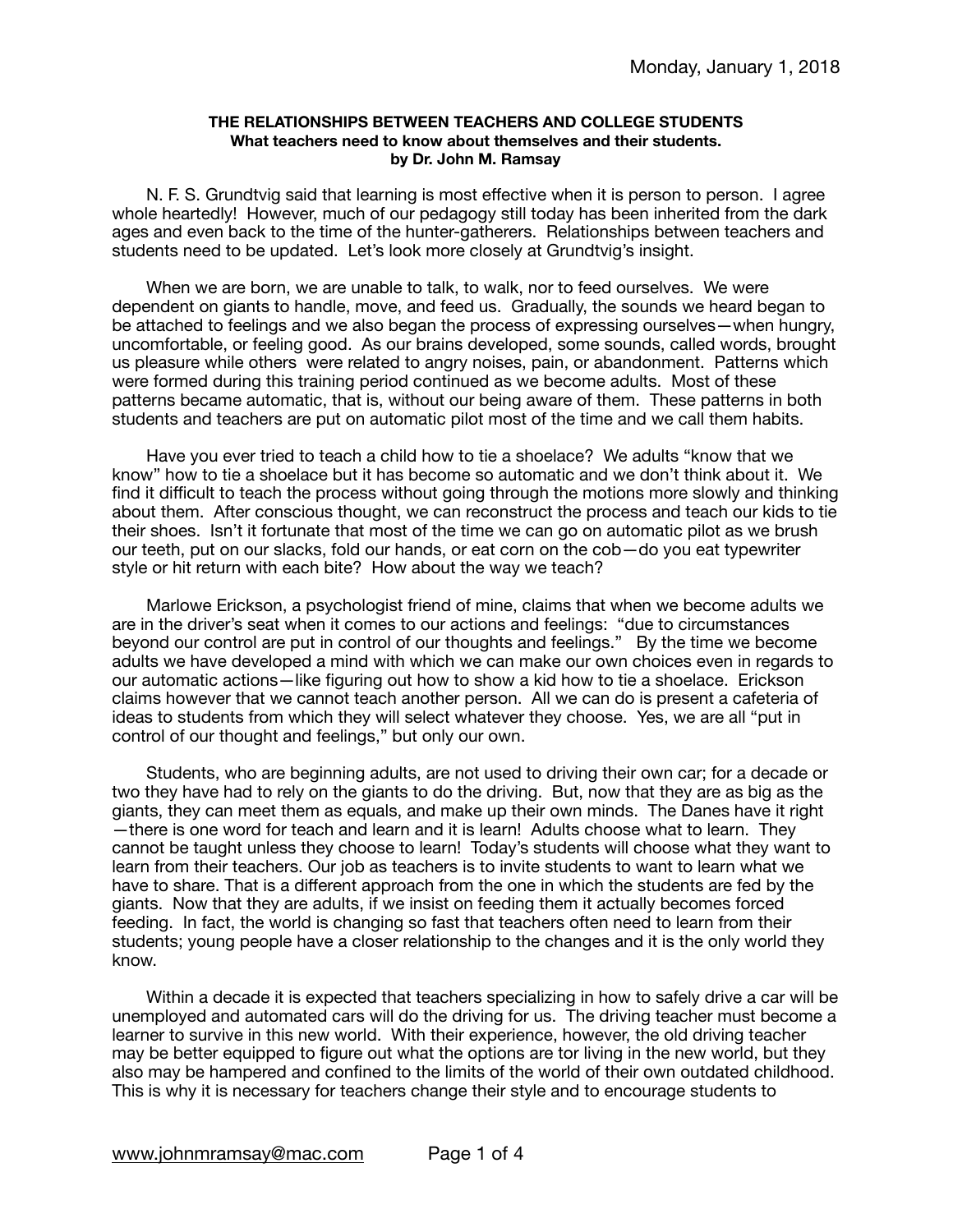## **THE RELATIONSHIPS BETWEEN TEACHERS AND COLLEGE STUDENTS What teachers need to know about themselves and their students. by Dr. John M. Ramsay**

N. F. S. Grundtvig said that learning is most effective when it is person to person. I agree whole heartedly! However, much of our pedagogy still today has been inherited from the dark ages and even back to the time of the hunter-gatherers. Relationships between teachers and students need to be updated. Let's look more closely at Grundtvig's insight.

When we are born, we are unable to talk, to walk, nor to feed ourselves. We were dependent on giants to handle, move, and feed us. Gradually, the sounds we heard began to be attached to feelings and we also began the process of expressing ourselves—when hungry, uncomfortable, or feeling good. As our brains developed, some sounds, called words, brought us pleasure while others were related to angry noises, pain, or abandonment. Patterns which were formed during this training period continued as we become adults. Most of these patterns became automatic, that is, without our being aware of them. These patterns in both students and teachers are put on automatic pilot most of the time and we call them habits.

Have you ever tried to teach a child how to tie a shoelace? We adults "know that we know" how to tie a shoelace but it has become so automatic and we don't think about it. We find it difficult to teach the process without going through the motions more slowly and thinking about them. After conscious thought, we can reconstruct the process and teach our kids to tie their shoes. Isn't it fortunate that most of the time we can go on automatic pilot as we brush our teeth, put on our slacks, fold our hands, or eat corn on the cob—do you eat typewriter style or hit return with each bite? How about the way we teach?

Marlowe Erickson, a psychologist friend of mine, claims that when we become adults we are in the driver's seat when it comes to our actions and feelings: "due to circumstances beyond our control are put in control of our thoughts and feelings." By the time we become adults we have developed a mind with which we can make our own choices even in regards to our automatic actions—like figuring out how to show a kid how to tie a shoelace. Erickson claims however that we cannot teach another person. All we can do is present a cafeteria of ideas to students from which they will select whatever they choose. Yes, we are all "put in control of our thought and feelings," but only our own.

Students, who are beginning adults, are not used to driving their own car; for a decade or two they have had to rely on the giants to do the driving. But, now that they are as big as the giants, they can meet them as equals, and make up their own minds. The Danes have it right —there is one word for teach and learn and it is learn! Adults choose what to learn. They cannot be taught unless they choose to learn! Today's students will choose what they want to learn from their teachers. Our job as teachers is to invite students to want to learn what we have to share. That is a different approach from the one in which the students are fed by the giants. Now that they are adults, if we insist on feeding them it actually becomes forced feeding. In fact, the world is changing so fast that teachers often need to learn from their students; young people have a closer relationship to the changes and it is the only world they know.

Within a decade it is expected that teachers specializing in how to safely drive a car will be unemployed and automated cars will do the driving for us. The driving teacher must become a learner to survive in this new world. With their experience, however, the old driving teacher may be better equipped to figure out what the options are tor living in the new world, but they also may be hampered and confined to the limits of the world of their own outdated childhood. This is why it is necessary for teachers change their style and to encourage students to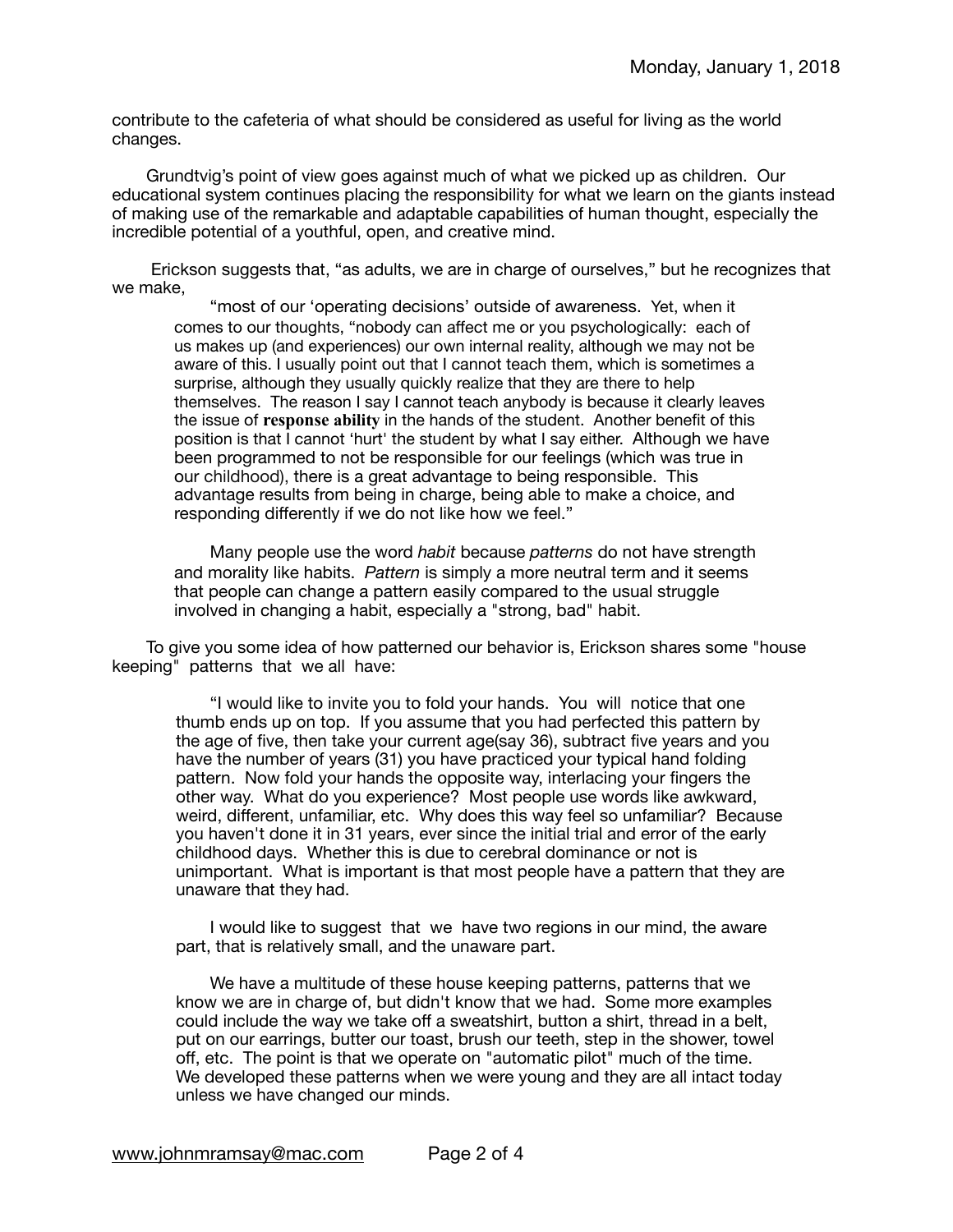contribute to the cafeteria of what should be considered as useful for living as the world changes.

Grundtvig's point of view goes against much of what we picked up as children. Our educational system continues placing the responsibility for what we learn on the giants instead of making use of the remarkable and adaptable capabilities of human thought, especially the incredible potential of a youthful, open, and creative mind.

 Erickson suggests that, "as adults, we are in charge of ourselves," but he recognizes that we make,

"most of our 'operating decisions' outside of awareness. Yet, when it comes to our thoughts, "nobody can affect me or you psychologically: each of us makes up (and experiences) our own internal reality, although we may not be aware of this. I usually point out that I cannot teach them, which is sometimes a surprise, although they usually quickly realize that they are there to help themselves. The reason I say I cannot teach anybody is because it clearly leaves the issue of **response ability** in the hands of the student. Another benefit of this position is that I cannot 'hurt' the student by what I say either. Although we have been programmed to not be responsible for our feelings (which was true in our childhood), there is a great advantage to being responsible. This advantage results from being in charge, being able to make a choice, and responding differently if we do not like how we feel."

Many people use the word *habit* because *patterns* do not have strength and morality like habits. *Pattern* is simply a more neutral term and it seems that people can change a pattern easily compared to the usual struggle involved in changing a habit, especially a "strong, bad" habit.

To give you some idea of how patterned our behavior is, Erickson shares some "house keeping" patterns that we all have:

"I would like to invite you to fold your hands. You will notice that one thumb ends up on top. If you assume that you had perfected this pattern by the age of five, then take your current age(say 36), subtract five years and you have the number of years (31) you have practiced your typical hand folding pattern. Now fold your hands the opposite way, interlacing your fingers the other way. What do you experience? Most people use words like awkward, weird, different, unfamiliar, etc. Why does this way feel so unfamiliar? Because you haven't done it in 31 years, ever since the initial trial and error of the early childhood days. Whether this is due to cerebral dominance or not is unimportant. What is important is that most people have a pattern that they are unaware that they had.

I would like to suggest that we have two regions in our mind, the aware part, that is relatively small, and the unaware part.

We have a multitude of these house keeping patterns, patterns that we know we are in charge of, but didn't know that we had. Some more examples could include the way we take off a sweatshirt, button a shirt, thread in a belt, put on our earrings, butter our toast, brush our teeth, step in the shower, towel off, etc. The point is that we operate on "automatic pilot" much of the time. We developed these patterns when we were young and they are all intact today unless we have changed our minds.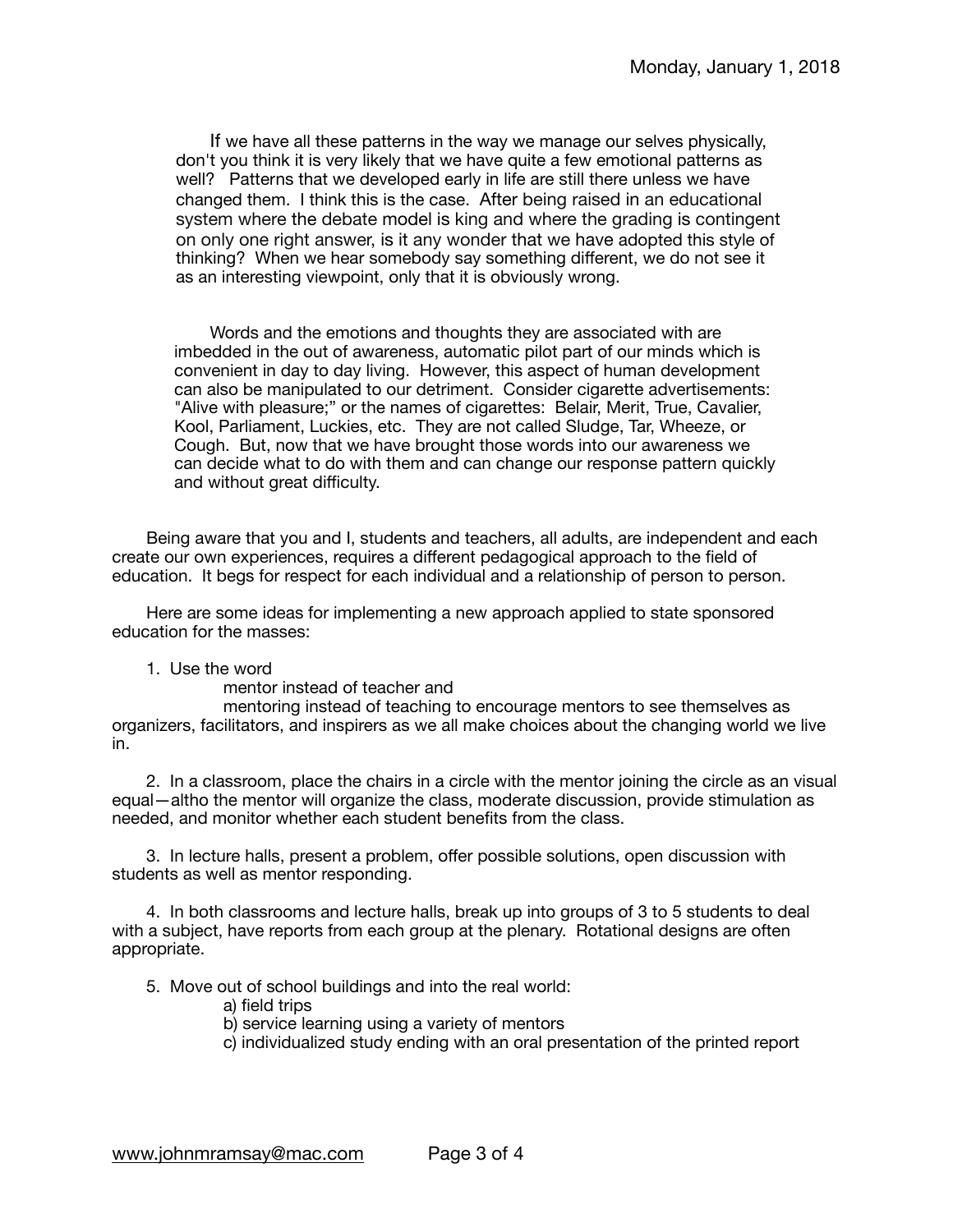If we have all these patterns in the way we manage our selves physically, don't you think it is very likely that we have quite a few emotional patterns as well? Patterns that we developed early in life are still there unless we have changed them. I think this is the case. After being raised in an educational system where the debate model is king and where the grading is contingent on only one right answer, is it any wonder that we have adopted this style of thinking? When we hear somebody say something different, we do not see it as an interesting viewpoint, only that it is obviously wrong.

Words and the emotions and thoughts they are associated with are imbedded in the out of awareness, automatic pilot part of our minds which is convenient in day to day living. However, this aspect of human development can also be manipulated to our detriment. Consider cigarette advertisements: "Alive with pleasure;" or the names of cigarettes: Belair, Merit, True, Cavalier, Kool, Parliament, Luckies, etc. They are not called Sludge, Tar, Wheeze, or Cough. But, now that we have brought those words into our awareness we can decide what to do with them and can change our response pattern quickly and without great difficulty.

Being aware that you and I, students and teachers, all adults, are independent and each create our own experiences, requires a different pedagogical approach to the field of education. It begs for respect for each individual and a relationship of person to person.

Here are some ideas for implementing a new approach applied to state sponsored education for the masses:

## 1. Use the word

 mentor instead of teacher and

 mentoring instead of teaching to encourage mentors to see themselves as organizers, facilitators, and inspirers as we all make choices about the changing world we live in.

2. In a classroom, place the chairs in a circle with the mentor joining the circle as an visual equal—altho the mentor will organize the class, moderate discussion, provide stimulation as needed, and monitor whether each student benefits from the class.

3. In lecture halls, present a problem, offer possible solutions, open discussion with students as well as mentor responding.

4. In both classrooms and lecture halls, break up into groups of 3 to 5 students to deal with a subject, have reports from each group at the plenary. Rotational designs are often appropriate.

5. Move out of school buildings and into the real world:

 a) field trips

 b) service learning using a variety of mentors

 c) individualized study ending with an oral presentation of the printed report